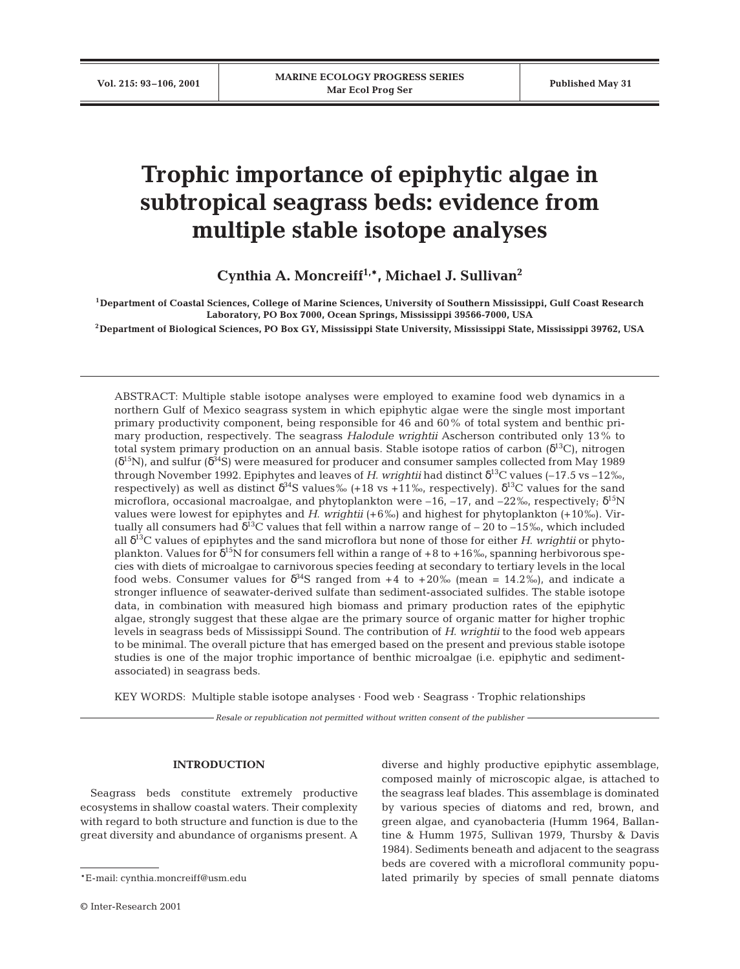# **Trophic importance of epiphytic algae in subtropical seagrass beds: evidence from multiple stable isotope analyses**

**Cynthia A. Moncreiff1,\*, Michael J. Sullivan2**

**1Department of Coastal Sciences, College of Marine Sciences, University of Southern Mississippi, Gulf Coast Research Laboratory, PO Box 7000, Ocean Springs, Mississippi 39566-7000, USA**

**2Department of Biological Sciences, PO Box GY, Mississippi State University, Mississippi State, Mississippi 39762, USA**

ABSTRACT: Multiple stable isotope analyses were employed to examine food web dynamics in a northern Gulf of Mexico seagrass system in which epiphytic algae were the single most important primary productivity component, being responsible for 46 and 60% of total system and benthic primary production, respectively. The seagrass *Halodule wrightii* Ascherson contributed only 13% to total system primary production on an annual basis. Stable isotope ratios of carbon  $(\delta^{13}C)$ , nitrogen  $(\delta^{15}N)$ , and sulfur  $(\delta^{34}S)$  were measured for producer and consumer samples collected from May 1989 through November 1992. Epiphytes and leaves of *H*. *wrightii* had distinct δ13C values (–17.5 vs –12‰, respectively) as well as distinct  $\delta^{34}S$  values‰ (+18 vs +11‰, respectively).  $\delta^{13}C$  values for the sand microflora, occasional macroalgae, and phytoplankton were  $-16$ ,  $-17$ , and  $-22\%$ , respectively;  $\delta^{15}N$ values were lowest for epiphytes and *H*. *wrightii* (+6‰) and highest for phytoplankton (+10‰). Virtually all consumers had  $\delta^{13}$ C values that fell within a narrow range of – 20 to –15‰, which included all δ13C values of epiphytes and the sand microflora but none of those for either *H*. *wrightii* or phytoplankton. Values for  $\delta^{15}N$  for consumers fell within a range of +8 to +16‰, spanning herbivorous species with diets of microalgae to carnivorous species feeding at secondary to tertiary levels in the local food webs. Consumer values for  $\delta^{34}S$  ranged from +4 to +20‰ (mean = 14.2‰), and indicate a stronger influence of seawater-derived sulfate than sediment-associated sulfides. The stable isotope data, in combination with measured high biomass and primary production rates of the epiphytic algae, strongly suggest that these algae are the primary source of organic matter for higher trophic levels in seagrass beds of Mississippi Sound. The contribution of *H*. *wrightii* to the food web appears to be minimal. The overall picture that has emerged based on the present and previous stable isotope studies is one of the major trophic importance of benthic microalgae (i.e. epiphytic and sedimentassociated) in seagrass beds.

KEY WORDS: Multiple stable isotope analyses · Food web · Seagrass · Trophic relationships

*Resale or republication not permitted without written consent of the publisher*

# **INTRODUCTION**

Seagrass beds constitute extremely productive ecosystems in shallow coastal waters. Their complexity with regard to both structure and function is due to the great diversity and abundance of organisms present. A

diverse and highly productive epiphytic assemblage, composed mainly of microscopic algae, is attached to the seagrass leaf blades. This assemblage is dominated by various species of diatoms and red, brown, and green algae, and cyanobacteria (Humm 1964, Ballantine & Humm 1975, Sullivan 1979, Thursby & Davis 1984). Sediments beneath and adjacent to the seagrass beds are covered with a microfloral community populated primarily by species of small pennate diatoms

<sup>\*</sup>E-mail: cynthia.moncreiff@usm.edu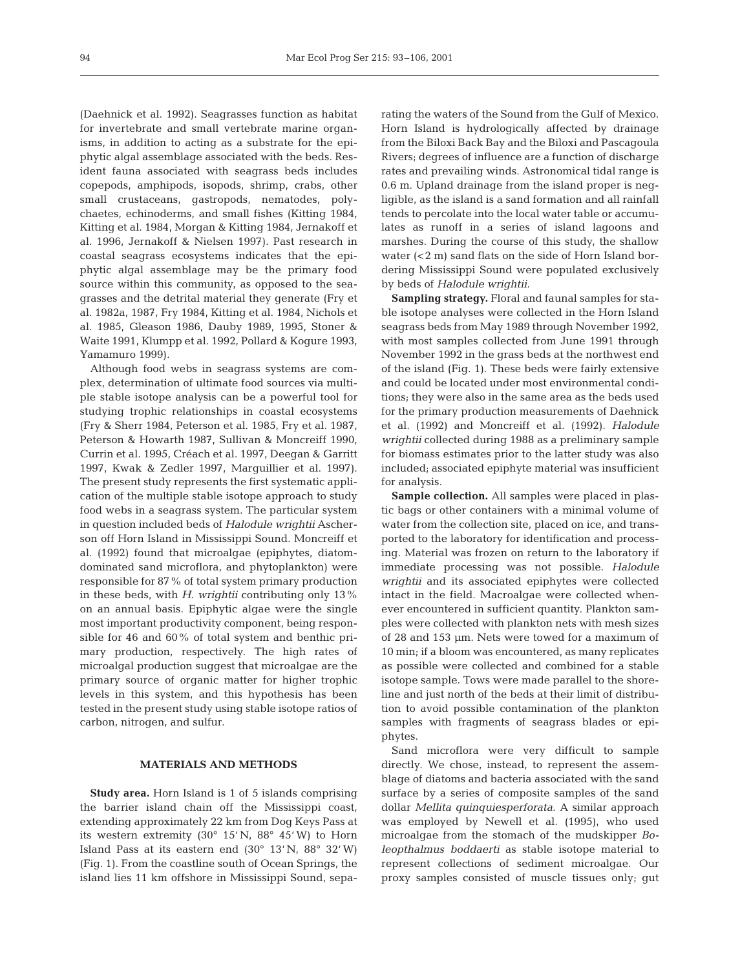(Daehnick et al. 1992). Seagrasses function as habitat for invertebrate and small vertebrate marine organisms, in addition to acting as a substrate for the epiphytic algal assemblage associated with the beds. Resident fauna associated with seagrass beds includes copepods, amphipods, isopods, shrimp, crabs, other small crustaceans, gastropods, nematodes, polychaetes, echinoderms, and small fishes (Kitting 1984, Kitting et al. 1984, Morgan & Kitting 1984, Jernakoff et al. 1996, Jernakoff & Nielsen 1997). Past research in coastal seagrass ecosystems indicates that the epiphytic algal assemblage may be the primary food source within this community, as opposed to the seagrasses and the detrital material they generate (Fry et al. 1982a, 1987, Fry 1984, Kitting et al. 1984, Nichols et al. 1985, Gleason 1986, Dauby 1989, 1995, Stoner & Waite 1991, Klumpp et al. 1992, Pollard & Kogure 1993, Yamamuro 1999).

Although food webs in seagrass systems are complex, determination of ultimate food sources via multiple stable isotope analysis can be a powerful tool for studying trophic relationships in coastal ecosystems (Fry & Sherr 1984, Peterson et al. 1985, Fry et al. 1987, Peterson & Howarth 1987, Sullivan & Moncreiff 1990, Currin et al. 1995, Créach et al. 1997, Deegan & Garritt 1997, Kwak & Zedler 1997, Marguillier et al. 1997). The present study represents the first systematic application of the multiple stable isotope approach to study food webs in a seagrass system. The particular system in question included beds of *Halodule wrightii* Ascherson off Horn Island in Mississippi Sound. Moncreiff et al. (1992) found that microalgae (epiphytes, diatomdominated sand microflora, and phytoplankton) were responsible for 87% of total system primary production in these beds, with *H*. *wrightii* contributing only 13% on an annual basis. Epiphytic algae were the single most important productivity component, being responsible for 46 and 60% of total system and benthic primary production, respectively. The high rates of microalgal production suggest that microalgae are the primary source of organic matter for higher trophic levels in this system, and this hypothesis has been tested in the present study using stable isotope ratios of carbon, nitrogen, and sulfur.

## **MATERIALS AND METHODS**

**Study area.** Horn Island is 1 of 5 islands comprising the barrier island chain off the Mississippi coast, extending approximately 22 km from Dog Keys Pass at its western extremity (30° 15' N, 88° 45' W) to Horn Island Pass at its eastern end  $(30^{\circ} 13' N, 88^{\circ} 32' W)$ (Fig. 1). From the coastline south of Ocean Springs, the island lies 11 km offshore in Mississippi Sound, sepa-

rating the waters of the Sound from the Gulf of Mexico. Horn Island is hydrologically affected by drainage from the Biloxi Back Bay and the Biloxi and Pascagoula Rivers; degrees of influence are a function of discharge rates and prevailing winds. Astronomical tidal range is 0.6 m. Upland drainage from the island proper is negligible, as the island is a sand formation and all rainfall tends to percolate into the local water table or accumulates as runoff in a series of island lagoons and marshes. During the course of this study, the shallow water (<2 m) sand flats on the side of Horn Island bordering Mississippi Sound were populated exclusively by beds of *Halodule wrightii*.

**Sampling strategy.** Floral and faunal samples for stable isotope analyses were collected in the Horn Island seagrass beds from May 1989 through November 1992, with most samples collected from June 1991 through November 1992 in the grass beds at the northwest end of the island (Fig. 1). These beds were fairly extensive and could be located under most environmental conditions; they were also in the same area as the beds used for the primary production measurements of Daehnick et al. (1992) and Moncreiff et al. (1992). *Halodule wrightii* collected during 1988 as a preliminary sample for biomass estimates prior to the latter study was also included; associated epiphyte material was insufficient for analysis.

**Sample collection.** All samples were placed in plastic bags or other containers with a minimal volume of water from the collection site, placed on ice, and transported to the laboratory for identification and processing. Material was frozen on return to the laboratory if immediate processing was not possible. *Halodule wrightii* and its associated epiphytes were collected intact in the field. Macroalgae were collected whenever encountered in sufficient quantity. Plankton samples were collected with plankton nets with mesh sizes of 28 and 153 µm. Nets were towed for a maximum of 10 min; if a bloom was encountered, as many replicates as possible were collected and combined for a stable isotope sample. Tows were made parallel to the shoreline and just north of the beds at their limit of distribution to avoid possible contamination of the plankton samples with fragments of seagrass blades or epiphytes.

Sand microflora were very difficult to sample directly. We chose, instead, to represent the assemblage of diatoms and bacteria associated with the sand surface by a series of composite samples of the sand dollar *Mellita quinquiesperforata*. A similar approach was employed by Newell et al. (1995), who used microalgae from the stomach of the mudskipper *Boleopthalmus boddaerti* as stable isotope material to represent collections of sediment microalgae. Our proxy samples consisted of muscle tissues only; gut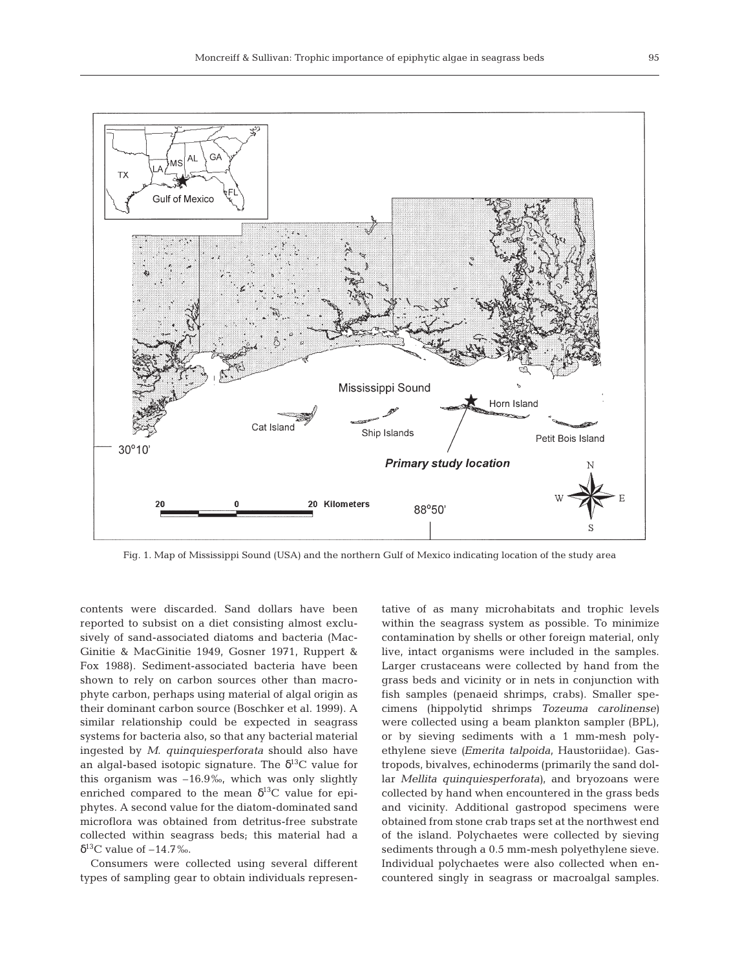

Fig. 1. Map of Mississippi Sound (USA) and the northern Gulf of Mexico indicating location of the study area

contents were discarded. Sand dollars have been reported to subsist on a diet consisting almost exclusively of sand-associated diatoms and bacteria (Mac-Ginitie & MacGinitie 1949, Gosner 1971, Ruppert & Fox 1988). Sediment-associated bacteria have been shown to rely on carbon sources other than macrophyte carbon, perhaps using material of algal origin as their dominant carbon source (Boschker et al. 1999). A similar relationship could be expected in seagrass systems for bacteria also, so that any bacterial material ingested by *M*. *quinquiesperforata* should also have an algal-based isotopic signature. The  $\delta^{13}C$  value for this organism was –16.9‰, which was only slightly enriched compared to the mean  $\delta^{13}$ C value for epiphytes. A second value for the diatom-dominated sand microflora was obtained from detritus-free substrate collected within seagrass beds; this material had a  $δ<sup>13</sup>C$  value of  $-14.7%$ .

Consumers were collected using several different types of sampling gear to obtain individuals representative of as many microhabitats and trophic levels within the seagrass system as possible. To minimize contamination by shells or other foreign material, only live, intact organisms were included in the samples. Larger crustaceans were collected by hand from the grass beds and vicinity or in nets in conjunction with fish samples (penaeid shrimps, crabs). Smaller specimens (hippolytid shrimps *Tozeuma carolinense)* were collected using a beam plankton sampler (BPL), or by sieving sediments with a 1 mm-mesh polyethylene sieve *(Emerita talpoida*, Haustoriidae). Gastropods, bivalves, echinoderms (primarily the sand dollar *Mellita quinquiesperforata)*, and bryozoans were collected by hand when encountered in the grass beds and vicinity. Additional gastropod specimens were obtained from stone crab traps set at the northwest end of the island. Polychaetes were collected by sieving sediments through a 0.5 mm-mesh polyethylene sieve. Individual polychaetes were also collected when encountered singly in seagrass or macroalgal samples.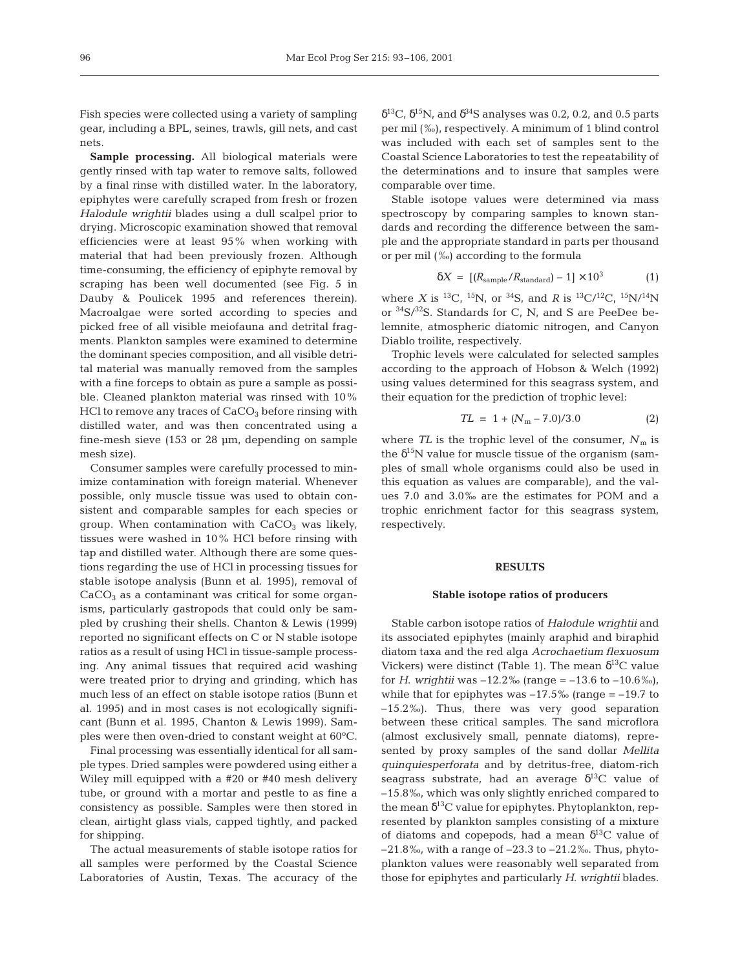Fish species were collected using a variety of sampling gear, including a BPL, seines, trawls, gill nets, and cast nets.

**Sample processing.** All biological materials were gently rinsed with tap water to remove salts, followed by a final rinse with distilled water. In the laboratory, epiphytes were carefully scraped from fresh or frozen *Halodule wrightii* blades using a dull scalpel prior to drying. Microscopic examination showed that removal efficiencies were at least 95% when working with material that had been previously frozen. Although time-consuming, the efficiency of epiphyte removal by scraping has been well documented (see Fig. 5 in Dauby & Poulicek 1995 and references therein). Macroalgae were sorted according to species and picked free of all visible meiofauna and detrital fragments. Plankton samples were examined to determine the dominant species composition, and all visible detrital material was manually removed from the samples with a fine forceps to obtain as pure a sample as possible. Cleaned plankton material was rinsed with 10% HCl to remove any traces of  $CaCO<sub>3</sub>$  before rinsing with distilled water, and was then concentrated using a fine-mesh sieve (153 or 28 µm, depending on sample mesh size).

Consumer samples were carefully processed to minimize contamination with foreign material. Whenever possible, only muscle tissue was used to obtain consistent and comparable samples for each species or group. When contamination with  $CaCO<sub>3</sub>$  was likely, tissues were washed in 10% HCl before rinsing with tap and distilled water. Although there are some questions regarding the use of HCl in processing tissues for stable isotope analysis (Bunn et al. 1995), removal of  $CaCO<sub>3</sub>$  as a contaminant was critical for some organisms, particularly gastropods that could only be sampled by crushing their shells. Chanton & Lewis (1999) reported no significant effects on C or N stable isotope ratios as a result of using HCl in tissue-sample processing. Any animal tissues that required acid washing were treated prior to drying and grinding, which has much less of an effect on stable isotope ratios (Bunn et al. 1995) and in most cases is not ecologically significant (Bunn et al. 1995, Chanton & Lewis 1999). Samples were then oven-dried to constant weight at 60°C.

Final processing was essentially identical for all sample types. Dried samples were powdered using either a Wiley mill equipped with a #20 or #40 mesh delivery tube, or ground with a mortar and pestle to as fine a consistency as possible. Samples were then stored in clean, airtight glass vials, capped tightly, and packed for shipping.

The actual measurements of stable isotope ratios for all samples were performed by the Coastal Science Laboratories of Austin, Texas. The accuracy of the  $δ<sup>13</sup>C, δ<sup>15</sup>N$ , and  $δ<sup>34</sup>S$  analyses was 0.2, 0.2, and 0.5 parts per mil (‰), respectively. A minimum of 1 blind control was included with each set of samples sent to the Coastal Science Laboratories to test the repeatability of the determinations and to insure that samples were comparable over time.

Stable isotope values were determined via mass spectroscopy by comparing samples to known standards and recording the difference between the sample and the appropriate standard in parts per thousand or per mil (‰) according to the formula

$$
\delta X = \left[ (R_{\text{sample}} / R_{\text{standard}}) - 1 \right] \times 10^3 \tag{1}
$$

where *X* is <sup>13</sup>C, <sup>15</sup>N, or <sup>34</sup>S, and *R* is <sup>13</sup>C/<sup>12</sup>C, <sup>15</sup>N/<sup>14</sup>N or 34S/32S. Standards for C, N, and S are PeeDee belemnite, atmospheric diatomic nitrogen, and Canyon Diablo troilite, respectively.

Trophic levels were calculated for selected samples according to the approach of Hobson & Welch (1992) using values determined for this seagrass system, and their equation for the prediction of trophic level:

$$
TL = 1 + (Nm - 7.0)/3.0
$$
 (2)

where  $TL$  is the trophic level of the consumer,  $N_m$  is the  $\delta^{15}N$  value for muscle tissue of the organism (samples of small whole organisms could also be used in this equation as values are comparable), and the values 7.0 and 3.0‰ are the estimates for POM and a trophic enrichment factor for this seagrass system, respectively.

## **RESULTS**

#### **Stable isotope ratios of producers**

Stable carbon isotope ratios of *Halodule wrightii* and its associated epiphytes (mainly araphid and biraphid diatom taxa and the red alga *Acrochaetium flexuosum* Vickers) were distinct (Table 1). The mean  $\delta^{13}$ C value for *H*. *wrightii* was  $-12.2\%$  (range =  $-13.6$  to  $-10.6\%$ ), while that for epiphytes was  $-17.5\%$  (range =  $-19.7$  to –15.2‰). Thus, there was very good separation between these critical samples. The sand microflora (almost exclusively small, pennate diatoms), represented by proxy samples of the sand dollar *Mellita quinquiesperforata* and by detritus-free, diatom-rich seagrass substrate, had an average  $\delta^{13}$ C value of –15.8‰, which was only slightly enriched compared to the mean  $\delta^{13}$ C value for epiphytes. Phytoplankton, represented by plankton samples consisting of a mixture of diatoms and copepods, had a mean  $\delta^{13}$ C value of –21.8‰, with a range of –23.3 to –21.2‰. Thus, phytoplankton values were reasonably well separated from those for epiphytes and particularly *H*. *wrightii* blades.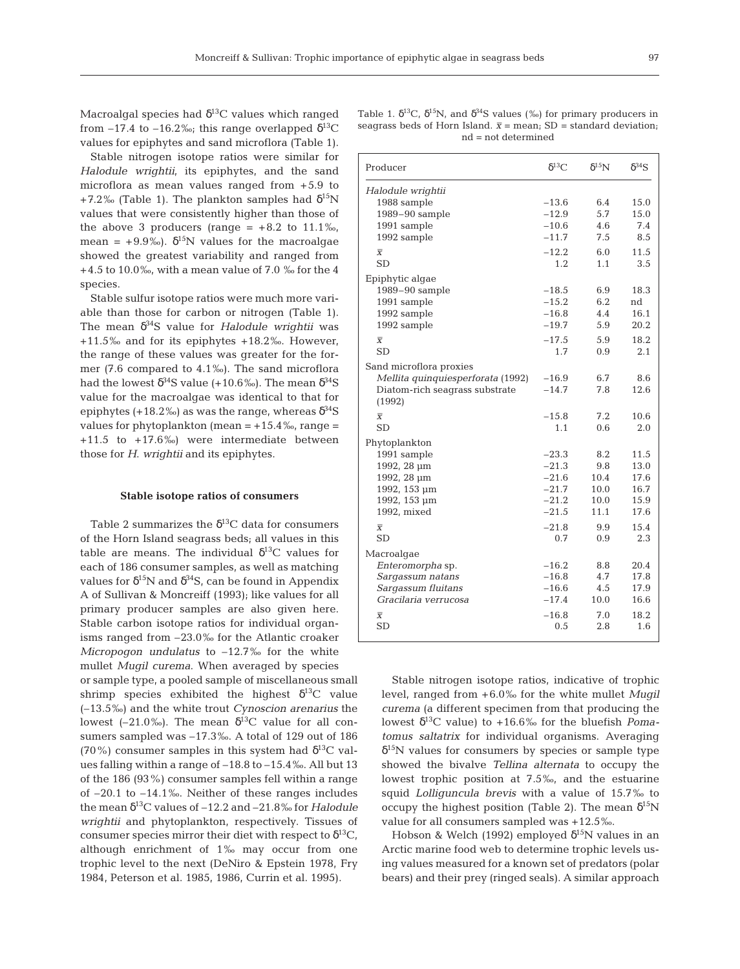Macroalgal species had  $\delta^{13}$ C values which ranged from –17.4 to –16.2‰; this range overlapped  $\delta^{13}C$ values for epiphytes and sand microflora (Table 1).

Stable nitrogen isotope ratios were similar for *Halodule wrightii*, its epiphytes, and the sand microflora as mean values ranged from +5.9 to +7.2‰ (Table 1). The plankton samples had  $\delta^{15}N$ values that were consistently higher than those of the above 3 producers (range =  $+8.2$  to 11.1‰, mean =  $+9.9\%$ ).  $\delta^{15}$ N values for the macroalgae showed the greatest variability and ranged from  $+4.5$  to 10.0‰, with a mean value of 7.0 ‰ for the 4 species.

Stable sulfur isotope ratios were much more variable than those for carbon or nitrogen (Table 1). The mean δ34S value for *Halodule wrightii* was +11.5‰ and for its epiphytes +18.2‰. However, the range of these values was greater for the former (7.6 compared to 4.1‰). The sand microflora had the lowest  $\delta^{34}S$  value (+10.6‰). The mean  $\delta^{34}S$ value for the macroalgae was identical to that for epiphytes (+18.2‰) as was the range, whereas  $\delta^{34}S$ values for phytoplankton (mean  $= +15.4%$ , range  $=$ +11.5 to +17.6‰) were intermediate between those for *H*. *wrightii* and its epiphytes.

#### **Stable isotope ratios of consumers**

Table 2 summarizes the  $\delta^{13}$ C data for consumers of the Horn Island seagrass beds; all values in this table are means. The individual  $\delta^{13}$ C values for each of 186 consumer samples, as well as matching values for  $\delta^{15}N$  and  $\delta^{34}S$ , can be found in Appendix A of Sullivan & Moncreiff (1993); like values for all primary producer samples are also given here. Stable carbon isotope ratios for individual organisms ranged from –23.0‰ for the Atlantic croaker *Micropogon undulatus* to –12.7‰ for the white mullet *Mugil curema*. When averaged by species or sample type, a pooled sample of miscellaneous small shrimp species exhibited the highest  $\delta^{13}C$  value (–13.5‰) and the white trout *Cynoscion arenarius* the lowest (–21.0‰). The mean  $\delta^{13}$ C value for all consumers sampled was –17.3‰. A total of 129 out of 186 (70%) consumer samples in this system had  $\delta^{13}$ C values falling within a range of –18.8 to –15.4‰. All but 13 of the 186 (93%) consumer samples fell within a range of –20.1 to –14.1‰. Neither of these ranges includes the mean  $\delta^{13}$ C values of  $-12.2$  and  $-21.8\%$  for *Halodule wrightii* and phytoplankton, respectively. Tissues of consumer species mirror their diet with respect to  $\delta^{13}C$ , although enrichment of 1‰ may occur from one trophic level to the next (DeNiro & Epstein 1978, Fry 1984, Peterson et al. 1985, 1986, Currin et al. 1995).

|  |  |  |                       | Table 1. $\delta^{13}C$ , $\delta^{15}N$ , and $\delta^{34}S$ values (%) for primary producers in |  |
|--|--|--|-----------------------|---------------------------------------------------------------------------------------------------|--|
|  |  |  |                       | seagrass beds of Horn Island. $\bar{x}$ = mean: SD = standard deviation:                          |  |
|  |  |  | $nd = not determined$ |                                                                                                   |  |

| Producer                          | $\delta^{13}C$ | $\delta^{15}$ N | $\delta^{34}S$ |  |  |
|-----------------------------------|----------------|-----------------|----------------|--|--|
| Halodule wrightii                 |                |                 |                |  |  |
| 1988 sample                       | $-13.6$        | 6.4             | 15.0           |  |  |
| 1989-90 sample                    | $-12.9$        | 5.7             | 15.0           |  |  |
| 1991 sample                       | $-10.6$        | 4.6             | 7.4            |  |  |
| 1992 sample                       | $-11.7$        | 7.5             | 8.5            |  |  |
| $\overline{X}$                    | $-12.2$        | 6.0             | 11.5           |  |  |
| <b>SD</b>                         | 1.2            | 1.1             | 3.5            |  |  |
| Epiphytic algae                   |                |                 |                |  |  |
| 1989-90 sample                    | $-18.5$        | 6.9             | 18.3           |  |  |
| 1991 sample                       | $-15.2$        | 6.2             | nd             |  |  |
| 1992 sample                       | $-16.8$        | 4.4             | 16.1           |  |  |
| 1992 sample                       | $-19.7$        | 5.9             | 20.2           |  |  |
| $\overline{X}$                    | $-17.5$        | 5.9             | 18.2           |  |  |
| <b>SD</b>                         | 1.7            | 0.9             | 2.1            |  |  |
| Sand microflora proxies           |                |                 |                |  |  |
| Mellita quinquiesperforata (1992) | $-16.9$        | 6.7             | 8.6            |  |  |
| Diatom-rich seagrass substrate    | $-14.7$        | 7.8             | 12.6           |  |  |
| (1992)                            |                |                 |                |  |  |
| $\overline{X}$                    | $-15.8$        | 7.2             | 10.6           |  |  |
| <b>SD</b>                         | 1.1            | 0.6             | 2.0            |  |  |
| Phytoplankton                     |                |                 |                |  |  |
| 1991 sample                       | $-23.3$        | 8.2             | 11.5           |  |  |
| 1992, 28 µm                       | $-21.3$        | 9.8             | 13.0           |  |  |
| 1992, 28 µm                       | $-21.6$        | 10.4            | 17.6           |  |  |
| 1992, 153 µm                      | $-21.7$        | 10.0            | 16.7           |  |  |
| 1992, 153 µm                      | $-21.2$        | 10.0            | 15.9           |  |  |
| 1992, mixed                       | $-21.5$        | 11.1            | 17.6           |  |  |
| $\overline{X}$                    | $-21.8$        | 9.9             | 15.4           |  |  |
| <b>SD</b>                         | 0.7            | 0.9             | 2.3            |  |  |
| Macroalgae                        |                |                 |                |  |  |
| Enteromorpha sp.                  | $-16.2$        | 8.8             | 20.4           |  |  |
| Sargassum natans                  | $-16.8$        | 4.7             | 17.8           |  |  |
| Sargassum fluitans                | $-16.6$        | 4.5             | 17.9           |  |  |
| Gracilaria verrucosa              | $-17.4$        | 10.0            | 16.6           |  |  |
| $\overline{x}$                    | $-16.8$        | 7.0             | 18.2           |  |  |
| <b>SD</b>                         | 0.5            | 2.8             | 1.6            |  |  |
|                                   |                |                 |                |  |  |

Stable nitrogen isotope ratios, indicative of trophic level, ranged from +6.0‰ for the white mullet *Mugil curema* (a different specimen from that producing the lowest  $\delta^{13}$ C value) to +16.6% for the bluefish *Pomatomus saltatrix* for individual organisms. Averaging  $\delta^{15}$ N values for consumers by species or sample type showed the bivalve *Tellina alternata* to occupy the lowest trophic position at 7.5‰, and the estuarine squid *Lolliguncula brevis* with a value of 15.7‰ to occupy the highest position (Table 2). The mean  $\delta^{15}N$ value for all consumers sampled was +12.5‰.

Hobson & Welch (1992) employed  $\delta^{15}$ N values in an Arctic marine food web to determine trophic levels using values measured for a known set of predators (polar bears) and their prey (ringed seals). A similar approach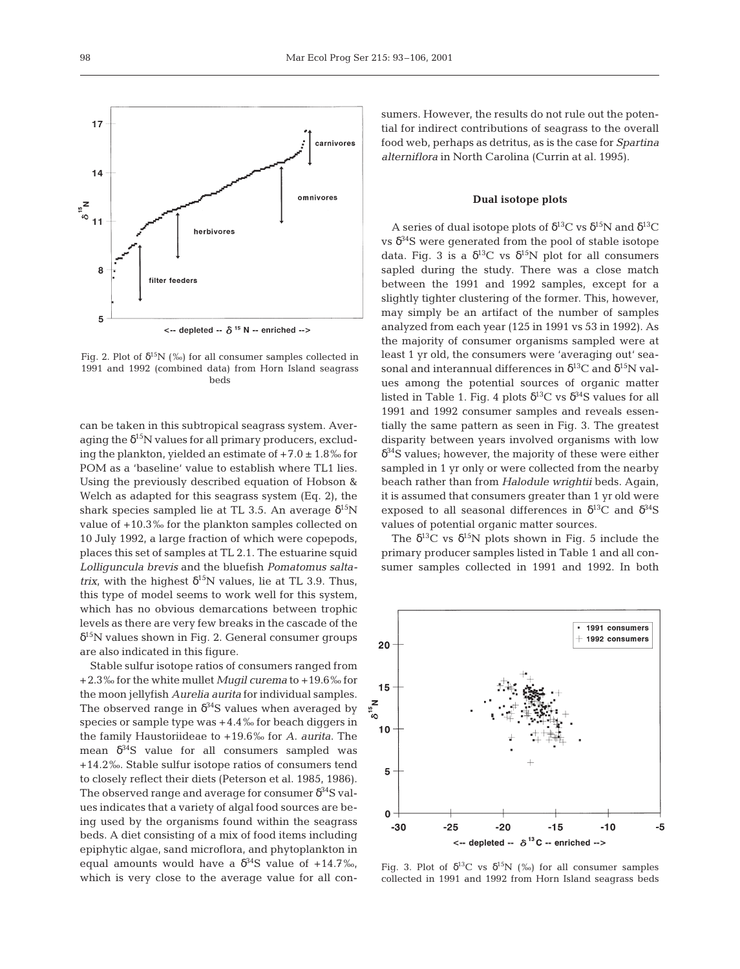

Fig. 2. Plot of  $\delta^{15}N$  (‰) for all consumer samples collected in 1991 and 1992 (combined data) from Horn Island seagrass beds

can be taken in this subtropical seagrass system. Averaging the  $\delta^{15}N$  values for all primary producers, excluding the plankton, yielded an estimate of  $+7.0 \pm 1.8\%$  for POM as a 'baseline' value to establish where TL1 lies. Using the previously described equation of Hobson & Welch as adapted for this seagrass system (Eq. 2), the shark species sampled lie at TL 3.5. An average  $\delta^{15}N$ value of +10.3‰ for the plankton samples collected on 10 July 1992, a large fraction of which were copepods, places this set of samples at TL 2.1. The estuarine squid *Lolliguncula brevis* and the bluefish *Pomatomus saltatrix*, with the highest  $\delta^{15}N$  values, lie at TL 3.9. Thus, this type of model seems to work well for this system, which has no obvious demarcations between trophic levels as there are very few breaks in the cascade of the  $\delta^{15}$ N values shown in Fig. 2. General consumer groups are also indicated in this figure.

Stable sulfur isotope ratios of consumers ranged from +2.3‰ for the white mullet *Mugil curema* to +19.6‰ for the moon jellyfish *Aurelia aurita* for individual samples. The observed range in  $\delta^{34}$ S values when averaged by species or sample type was +4.4‰ for beach diggers in the family Haustoriideae to +19.6‰ for *A. aurita*. The mean  $\delta^{34}S$  value for all consumers sampled was +14.2‰. Stable sulfur isotope ratios of consumers tend to closely reflect their diets (Peterson et al. 1985, 1986). The observed range and average for consumer  $\delta^{34}S$  values indicates that a variety of algal food sources are being used by the organisms found within the seagrass beds. A diet consisting of a mix of food items including epiphytic algae, sand microflora, and phytoplankton in equal amounts would have a  $\delta^{34}$ S value of +14.7‰, which is very close to the average value for all consumers. However, the results do not rule out the potential for indirect contributions of seagrass to the overall food web, perhaps as detritus, as is the case for *Spartina alterniflora* in North Carolina (Currin at al. 1995).

#### **Dual isotope plots**

A series of dual isotope plots of  $\delta^{13}C$  vs  $\delta^{15}N$  and  $\delta^{13}C$ vs  $\delta^{34}$ S were generated from the pool of stable isotope data. Fig. 3 is a  $\delta^{13}C$  vs  $\delta^{15}N$  plot for all consumers sapled during the study. There was a close match between the 1991 and 1992 samples, except for a slightly tighter clustering of the former. This, however, may simply be an artifact of the number of samples analyzed from each year (125 in 1991 vs 53 in 1992). As the majority of consumer organisms sampled were at least 1 yr old, the consumers were 'averaging out' seasonal and interannual differences in  $\delta^{13}$ C and  $\delta^{15}$ N values among the potential sources of organic matter listed in Table 1. Fig. 4 plots  $\delta^{13}$ C vs  $\delta^{34}$ S values for all 1991 and 1992 consumer samples and reveals essentially the same pattern as seen in Fig. 3. The greatest disparity between years involved organisms with low  $\delta^{34}$ S values; however, the majority of these were either sampled in 1 yr only or were collected from the nearby beach rather than from *Halodule wrightii* beds. Again, it is assumed that consumers greater than 1 yr old were exposed to all seasonal differences in  $\delta^{13}$ C and  $\delta^{34}$ S values of potential organic matter sources.

The  $\delta^{13}$ C vs  $\delta^{15}$ N plots shown in Fig. 5 include the primary producer samples listed in Table 1 and all consumer samples collected in 1991 and 1992. In both



Fig. 3. Plot of  $\delta^{13}C$  vs  $\delta^{15}N$  (‰) for all consumer samples collected in 1991 and 1992 from Horn Island seagrass beds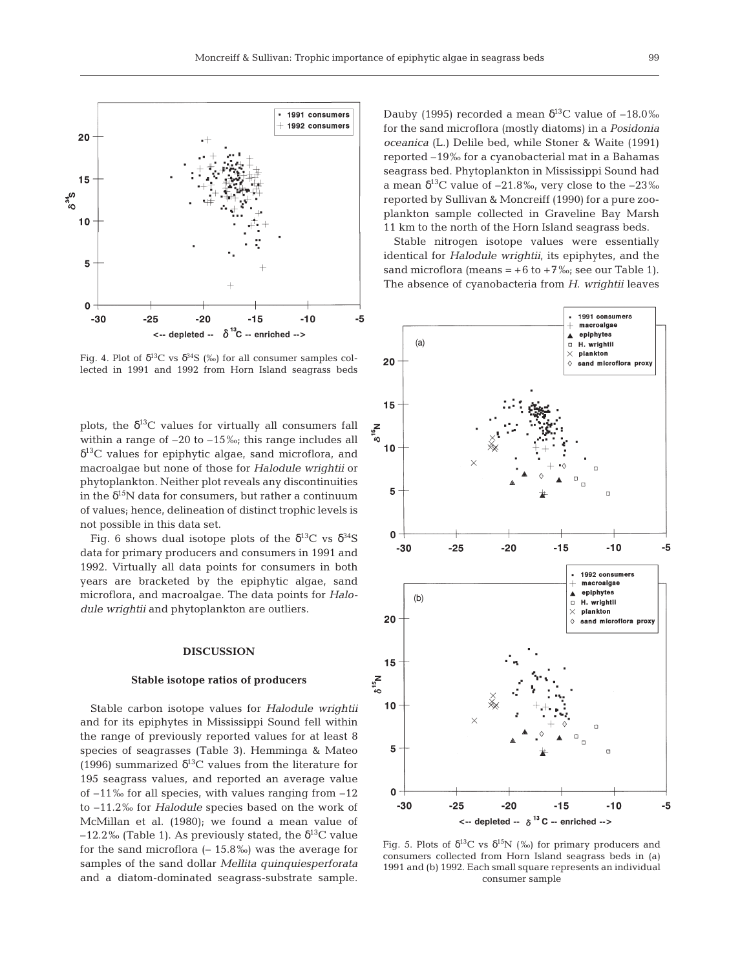

Fig. 4. Plot of  $\delta^{13}C$  vs  $\delta^{34}S$  (‰) for all consumer samples collected in 1991 and 1992 from Horn Island seagrass beds

plots, the  $\delta^{13}C$  values for virtually all consumers fall within a range of  $-20$  to  $-15\%$ ; this range includes all  $\delta^{13}$ C values for epiphytic algae, sand microflora, and macroalgae but none of those for *Halodule wrightii* or phytoplankton. Neither plot reveals any discontinuities in the  $\delta^{15}N$  data for consumers, but rather a continuum of values; hence, delineation of distinct trophic levels is not possible in this data set.

Fig. 6 shows dual isotope plots of the  $\delta^{13}C$  vs  $\delta^{34}S$ data for primary producers and consumers in 1991 and 1992. Virtually all data points for consumers in both years are bracketed by the epiphytic algae, sand microflora, and macroalgae. The data points for *Halodule wrightii* and phytoplankton are outliers.

### **DISCUSSION**

#### **Stable isotope ratios of producers**

Stable carbon isotope values for *Halodule wrightii* and for its epiphytes in Mississippi Sound fell within the range of previously reported values for at least 8 species of seagrasses (Table 3). Hemminga & Mateo (1996) summarized  $\delta^{13}$ C values from the literature for 195 seagrass values, and reported an average value of  $-11\%$  for all species, with values ranging from  $-12$ to –11.2‰ for *Halodule* species based on the work of McMillan et al. (1980); we found a mean value of  $-12.2\%$  (Table 1). As previously stated, the  $\delta^{13}$ C value for the sand microflora  $(-15.8\%)$  was the average for samples of the sand dollar *Mellita quinquiesperforata* and a diatom-dominated seagrass-substrate sample.

Dauby (1995) recorded a mean  $\delta^{13}$ C value of  $-18.0\%$ for the sand microflora (mostly diatoms) in a *Posidonia oceanica* (L.) Delile bed, while Stoner & Waite (1991) reported –19‰ for a cyanobacterial mat in a Bahamas seagrass bed. Phytoplankton in Mississippi Sound had a mean  $\delta^{13}$ C value of –21.8‰, very close to the –23‰ reported by Sullivan & Moncreiff (1990) for a pure zooplankton sample collected in Graveline Bay Marsh 11 km to the north of the Horn Island seagrass beds.

Stable nitrogen isotope values were essentially identical for *Halodule wrightii*, its epiphytes, and the sand microflora (means =  $+6$  to  $+7$ ‰; see our Table 1). The absence of cyanobacteria from *H*. *wrightii* leaves



Fig. 5. Plots of  $\delta^{13}C$  vs  $\delta^{15}N$  (‰) for primary producers and consumers collected from Horn Island seagrass beds in (a) 1991 and (b) 1992. Each small square represents an individual consumer sample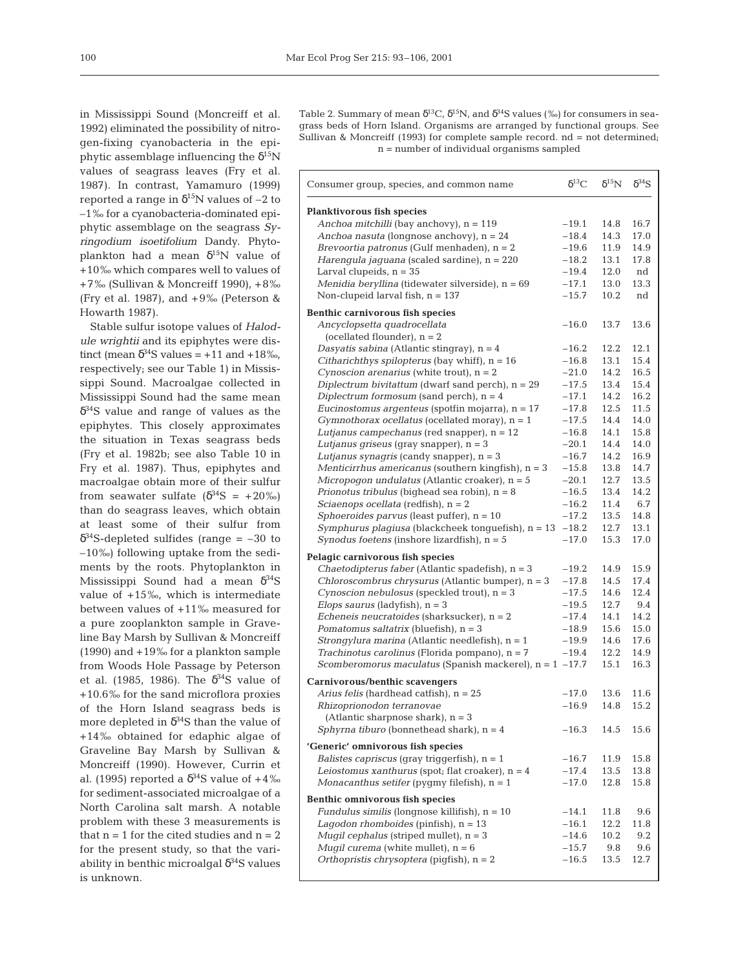in Mississippi Sound (Moncreiff et al. 1992) eliminated the possibility of nitrogen-fixing cyanobacteria in the epiphytic assemblage influencing the  $\delta^{15}N$ values of seagrass leaves (Fry et al. 1987). In contrast, Yamamuro (1999) reported a range in  $\delta^{15}$ N values of -2 to –1‰ for a cyanobacteria-dominated epiphytic assemblage on the seagrass *Syringodium isoetifolium* Dandy. Phytoplankton had a mean  $\delta^{15}N$  value of +10‰ which compares well to values of +7‰ (Sullivan & Moncreiff 1990), +8‰ (Fry et al. 1987), and +9‰ (Peterson & Howarth 1987).

Stable sulfur isotope values of *Halodule wrightii* and its epiphytes were distinct (mean  $\delta^{34}$ S values = +11 and +18‰, respectively; see our Table 1) in Mississippi Sound. Macroalgae collected in Mississippi Sound had the same mean  $\delta^{34}$ S value and range of values as the epiphytes. This closely approximates the situation in Texas seagrass beds (Fry et al. 1982b; see also Table 10 in Fry et al. 1987). Thus, epiphytes and macroalgae obtain more of their sulfur from seawater sulfate  $(\delta^{34}S = +20\%)$ than do seagrass leaves, which obtain at least some of their sulfur from  $\delta^{34}$ S-depleted sulfides (range = -30 to –10‰) following uptake from the sediments by the roots. Phytoplankton in Mississippi Sound had a mean  $\delta^{34}S$ value of +15‰, which is intermediate between values of +11‰ measured for a pure zooplankton sample in Graveline Bay Marsh by Sullivan & Moncreiff (1990) and +19‰ for a plankton sample from Woods Hole Passage by Peterson et al. (1985, 1986). The  $\delta^{34}$ S value of +10.6‰ for the sand microflora proxies of the Horn Island seagrass beds is more depleted in  $\delta^{34}S$  than the value of +14‰ obtained for edaphic algae of Graveline Bay Marsh by Sullivan & Moncreiff (1990). However, Currin et al. (1995) reported a  $\delta^{34}$ S value of +4‰ for sediment-associated microalgae of a North Carolina salt marsh. A notable problem with these 3 measurements is that  $n = 1$  for the cited studies and  $n = 2$ for the present study, so that the variability in benthic microalgal  $\delta^{34}$ S values is unknown.

Table 2. Summary of mean  $\delta^{13}C$ ,  $\delta^{15}N$ , and  $\delta^{34}S$  values (%) for consumers in seagrass beds of Horn Island. Organisms are arranged by functional groups. See Sullivan & Moncreiff (1993) for complete sample record. nd = not determined; n = number of individual organisms sampled

| Consumer group, species, and common name                     | $\delta^{13}C$ | $\delta^{15}N$ | $\delta^{34}S$ |
|--------------------------------------------------------------|----------------|----------------|----------------|
| <b>Planktivorous fish species</b>                            |                |                |                |
| Anchoa mitchilli (bay anchovy), $n = 119$                    | $-19.1$        | 14.8           | 16.7           |
| Anchoa nasuta (longnose anchovy), $n = 24$                   | $-18.4$        | 14.3           | 17.0           |
| Brevoortia patronus (Gulf menhaden), $n = 2$                 | $-19.6$        | 11.9           | 14.9           |
| Harengula jaguana (scaled sardine), $n = 220$                | $-18.2$        | 13.1           | 17.8           |
| Larval clupeids, $n = 35$                                    | $-19.4$        | 12.0           | nd             |
| Menidia beryllina (tidewater silverside), $n = 69$           | $-17.1$        | 13.0           | 13.3           |
| Non-clupeid larval fish, $n = 137$                           | $-15.7$        | 10.2           | nd             |
| Benthic carnivorous fish species                             |                |                |                |
| Ancyclopsetta quadrocellata<br>(ocellated flounder), $n = 2$ | $-16.0$        | 13.7           | 13.6           |
| Dasyatis sabina (Atlantic stingray), $n = 4$                 | $-16.2$        | 12.2           | 12.1           |
| Citharichthys spilopterus (bay whiff), n = 16                | $-16.8$        | 13.1           | 15.4           |
| Cynoscion arenarius (white trout), $n = 2$                   | $-21.0$        | 14.2           | 16.5           |
| Diplectrum bivitattum (dwarf sand perch), $n = 29$           | $-17.5$        | 13.4           | 15.4           |
| Diplectrum formosum (sand perch), $n = 4$                    | $-17.1$        | 14.2           | 16.2           |
| <i>Eucinostomus argenteus</i> (spotfin mojarra), $n = 17$    | $-17.8$        | 12.5           | 11.5           |
| Gymnothorax ocellatus (ocellated moray), $n = 1$             | $-17.5$        | 14.4           | 14.0           |
| Lutjanus campechanus (red snapper), $n = 12$                 | $-16.8$        | 14.1           | 15.8           |
| Lutjanus griseus (gray snapper), $n = 3$                     | $-20.1$        | 14.4           | 14.0           |
| Lutjanus synagris (candy snapper), $n = 3$                   | $-16.7$        | 14.2           | 16.9           |
| Menticirrhus americanus (southern kingfish), $n = 3$         | $-15.8$        | 13.8           | 14.7           |
| Micropogon undulatus (Atlantic croaker), $n = 5$             | $-20.1$        | 12.7           | 13.5           |
| Prionotus tribulus (bighead sea robin), $n = 8$              | $-16.5$        | 13.4           | 14.2           |
| Sciaenops ocellata (redfish), $n = 2$                        | $-16.2$        | 11.4           | 6.7            |
| Sphoeroides parvus (least puffer), $n = 10$                  | $-17.2$        | 13.5           | 14.8           |
| Symphurus plagiusa (blackcheek tonguefish), $n = 13$         | $-18.2$        | 12.7           | 13.1           |
| Synodus foetens (inshore lizardfish), $n = 5$                | $-17.0$        | 15.3           | 17.0           |
| Pelagic carnivorous fish species                             |                |                |                |
| Chaetodipterus faber (Atlantic spadefish), $n = 3$           | $-19.2$        | 14.9           | 15.9           |
| Chloroscombrus chrysurus (Atlantic bumper), $n = 3$          | $-17.8$        | 14.5           | 17.4           |
| Cynoscion nebulosus (speckled trout), $n = 3$                | $-17.5$        | 14.6           | 12.4           |
| Elops saurus (ladyfish), $n = 3$                             | $-19.5$        | 12.7           | 9.4            |
| Echeneis neucratoides (sharksucker), $n = 2$                 | $-17.4$        | 14.1           | 14.2           |
| Pomatomus saltatrix (bluefish), $n = 3$                      | $-18.9$        | 15.6           | 15.0           |
| <i>Strongylura marina</i> (Atlantic needlefish), $n = 1$     | $-19.9$        | 14.6           | 17.6           |
| Trachinotus carolinus (Florida pompano), $n = 7$             | $-19.4$        | 12.2           | 14.9           |
| Scomberomorus maculatus (Spanish mackerel), $n = 1 -17.7$    |                | 15.1           | 16.3           |
| Carnivorous/benthic scavengers                               |                |                |                |
| Arius felis (hardhead catfish), $n = 25$                     | $-17.0$        | 13.6           | 11.6           |
| Rhizoprionodon terranovae                                    | $-16.9$        | 14.8           | 15.2           |
| (Atlantic sharpnose shark), $n = 3$                          |                |                |                |
| Sphyrna tiburo (bonnethead shark), $n = 4$                   | $-16.3$        | 14.5           | 15.6           |
| 'Generic' omnivorous fish species                            |                |                |                |
| <i>Balistes capriscus</i> (gray triggerfish), $n = 1$        | $-16.7$        | 11.9           | 15.8           |
| Leiostomus xanthurus (spot; flat croaker), $n = 4$           | $-17.4$        | 13.5           | 13.8           |
| Monacanthus setifer (pygmy filefish), $n = 1$                | $-17.0$        | 12.8           | 15.8           |
| Benthic omnivorous fish species                              |                |                |                |
| Fundulus similis (longnose killifish), $n = 10$              | $-14.1$        | 11.8           | 9.6            |
| Lagodon rhomboides (pinfish), $n = 13$                       | $-16.1$        | 12.2           | 11.8           |
| Mugil cephalus (striped mullet), $n = 3$                     | $-14.6$        | 10.2           | 9.2            |
| Mugil curema (white mullet), $n = 6$                         | $-15.7$        | 9.8            | 9.6            |
| Orthopristis chrysoptera (pigfish), $n = 2$                  | $-16.5$        | 13.5           | 12.7           |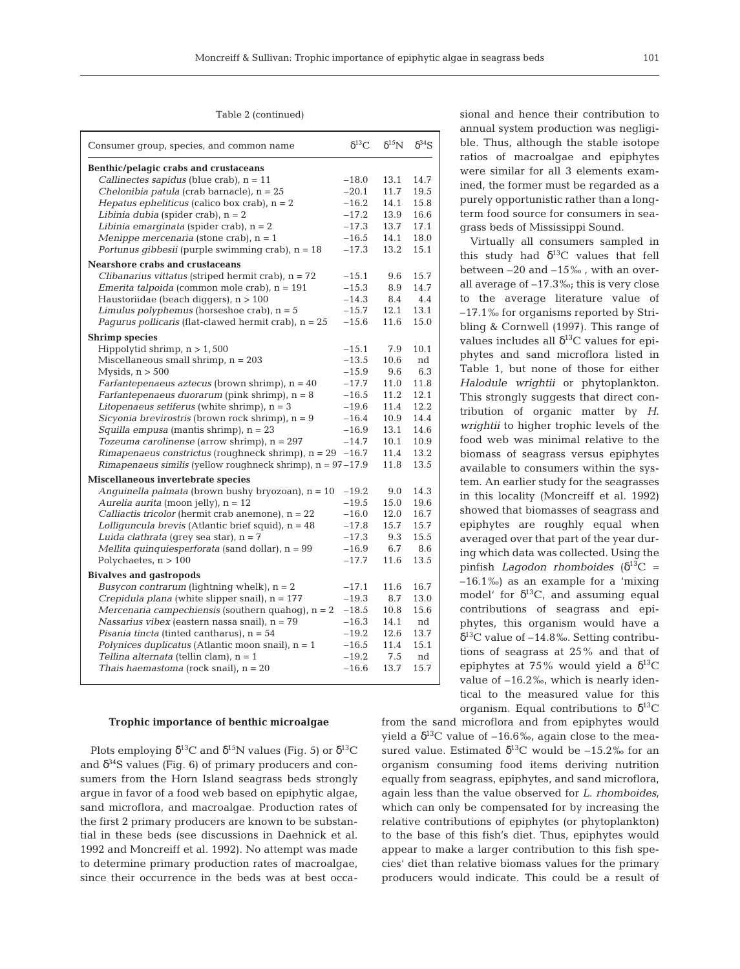## Table 2 (continued)

| Consumer group, species, and common name                       | $\delta^{13}C$ | $\delta^{15}N$ | $\delta^{34}S$ |
|----------------------------------------------------------------|----------------|----------------|----------------|
| Benthic/pelagic crabs and crustaceans                          |                |                |                |
| Callinectes sapidus (blue crab), $n = 11$                      | $-18.0$        | 13.1           | 14.7           |
| Chelonibia patula (crab barnacle), $n = 25$                    | $-20.1$        | 11.7           | 19.5           |
| Hepatus epheliticus (calico box crab), $n = 2$                 | $-16.2$        | 14.1           | 15.8           |
| Libinia dubia (spider crab), $n = 2$                           | $-17.2$        | 13.9           | 16.6           |
| Libinia emarginata (spider crab), $n = 2$                      | $-17.3$        | 13.7           | 17.1           |
| Menippe mercenaria (stone crab), $n = 1$                       | $-16.5$        | 14.1           | 18.0           |
| Portunus gibbesii (purple swimming crab), $n = 18$             | $-17.3$        | 13.2           | 15.1           |
| <b>Nearshore crabs and crustaceans</b>                         |                |                |                |
| Clibanarius vittatus (striped hermit crab), $n = 72$           | $-15.1$        | 9.6            | 15.7           |
| <i>Emerita talpoida</i> (common mole crab), n = 191            | $-15.3$        | 8.9            | 14.7           |
| Haustoriidae (beach diggers), $n > 100$                        | $-14.3$        | 8.4            | 4.4            |
| Limulus polyphemus (horseshoe crab), $n = 5$                   | $-15.7$        | 12.1           | 13.1           |
| <i>Pagurus pollicaris</i> (flat-clawed hermit crab), $n = 25$  | $-15.6$        | 11.6           | 15.0           |
| <b>Shrimp species</b>                                          |                |                |                |
| Hippolytid shrimp, $n > 1,500$                                 | $-15.1$        | 7.9            | 10.1           |
| Miscellaneous small shrimp, $n = 203$                          | $-13.5$        | 10.6           | nd             |
| Mysids, $n > 500$                                              | $-15.9$        | 9.6            | 6.3            |
| Farfantepenaeus aztecus (brown shrimp), $n = 40$               | $-17.7$        | 11.0           | 11.8           |
| Farfantepenaeus duorarum (pink shrimp), $n = 8$                | $-16.5$        | 11.2           | 12.1           |
| Litopenaeus setiferus (white shrimp), $n = 3$                  | $-19.6$        | 11.4           | 12.2           |
| Sicyonia brevirostris (brown rock shrimp), n = 9               | $-16.4$        | 10.9           | 14.4           |
| Squilla empusa (mantis shrimp), $n = 23$                       | $-16.9$        | 13.1           | 14.6           |
| Tozeuma carolinense (arrow shrimp), $n = 297$                  | $-14.7$        | 10.1           | 10.9           |
| $R$ <i>imapenaeus constrictus</i> (roughneck shrimp), $n = 29$ | $-16.7$        | 11.4           | 13.2           |
| Rimapenaeus similis (yellow roughneck shrimp), $n = 97-17.9$   |                | 11.8           | 13.5           |
| Miscellaneous invertebrate species                             |                |                |                |
| Anguinella palmata (brown bushy bryozoan), $n = 10$            | $-19.2$        | 9.0            | 14.3           |
| Aurelia aurita (moon jelly), $n = 12$                          | $-19.5$        | 15.0           | 19.6           |
| Calliactis tricolor (hermit crab anemone), $n = 22$            | $-16.0$        | 12.0           | 16.7           |
| Lolliquncula brevis (Atlantic brief squid), $n = 48$           | $-17.8$        | 15.7           | 15.7           |
| Luida clathrata (grey sea star), $n = 7$                       | $-17.3$        | 9.3            | 15.5           |
| Mellita quinquiesperforata (sand dollar), $n = 99$             | $-16.9$        | 6.7            | 8.6            |
| Polychaetes, $n > 100$                                         | $-17.7$        | 11.6           | 13.5           |
| <b>Bivalves and gastropods</b>                                 |                |                |                |
| <i>Busycon contrarum</i> (lightning whelk), $n = 2$            | $-17.1$        | 11.6           | 16.7           |
| Crepidula plana (white slipper snail), $n = 177$               | $-19.3$        | 8.7            | 13.0           |
| Mercenaria campechiensis (southern quahog), $n = 2$            | $-18.5$        | 10.8           | 15.6           |
| Nassarius vibex (eastern nassa snail), $n = 79$                | $-16.3$        | 14.1           | nd             |
| Pisania tincta (tinted cantharus), $n = 54$                    | $-19.2$        | 12.6           | 13.7           |
| Polynices duplicatus (Atlantic moon snail), $n = 1$            | $-16.5$        | 11.4           | 15.1           |
| Tellina alternata (tellin clam), n = 1                         | $-19.2$        | 7.5            | nd             |
| Thais haemastoma (rock snail), $n = 20$                        | $-16.6$        | 13.7           | 15.7           |
|                                                                |                |                |                |

#### **Trophic importance of benthic microalgae**

Plots employing  $\delta^{13}$ C and  $\delta^{15}$ N values (Fig. 5) or  $\delta^{13}$ C and  $\delta^{34}$ S values (Fig. 6) of primary producers and consumers from the Horn Island seagrass beds strongly argue in favor of a food web based on epiphytic algae, sand microflora, and macroalgae. Production rates of the first 2 primary producers are known to be substantial in these beds (see discussions in Daehnick et al. 1992 and Moncreiff et al. 1992). No attempt was made to determine primary production rates of macroalgae, since their occurrence in the beds was at best occasional and hence their contribution to annual system production was negligible. Thus, although the stable isotope ratios of macroalgae and epiphytes were similar for all 3 elements examined, the former must be regarded as a purely opportunistic rather than a longterm food source for consumers in seagrass beds of Mississippi Sound.

Virtually all consumers sampled in this study had  $\delta^{13}$ C values that fell between –20 and –15‰ , with an overall average of –17.3‰; this is very close to the average literature value of –17.1‰ for organisms reported by Stribling & Cornwell (1997). This range of values includes all  $\delta^{13}$ C values for epiphytes and sand microflora listed in Table 1, but none of those for either *Halodule wrightii* or phytoplankton. This strongly suggests that direct contribution of organic matter by *H*. *wrightii* to higher trophic levels of the food web was minimal relative to the biomass of seagrass versus epiphytes available to consumers within the system. An earlier study for the seagrasses in this locality (Moncreiff et al. 1992) showed that biomasses of seagrass and epiphytes are roughly equal when averaged over that part of the year during which data was collected. Using the pinfish *Lagodon rhomboides* ( $\delta^{13}$ C = –16.1‰) as an example for a 'mixing model' for  $\delta^{13}C$ , and assuming equal contributions of seagrass and epiphytes, this organism would have a  $\delta^{13}$ C value of –14.8‰. Setting contributions of seagrass at 25% and that of epiphytes at 75% would yield a  $\delta^{13}C$ value of –16.2‰, which is nearly identical to the measured value for this organism. Equal contributions to  $\delta^{13}C$ 

from the sand microflora and from epiphytes would yield a  $\delta^{13}$ C value of -16.6‰, again close to the measured value. Estimated  $\delta^{13}$ C would be -15.2‰ for an organism consuming food items deriving nutrition equally from seagrass, epiphytes, and sand microflora, again less than the value observed for *L*. *rhomboides*, which can only be compensated for by increasing the relative contributions of epiphytes (or phytoplankton) to the base of this fish's diet. Thus, epiphytes would appear to make a larger contribution to this fish species' diet than relative biomass values for the primary producers would indicate. This could be a result of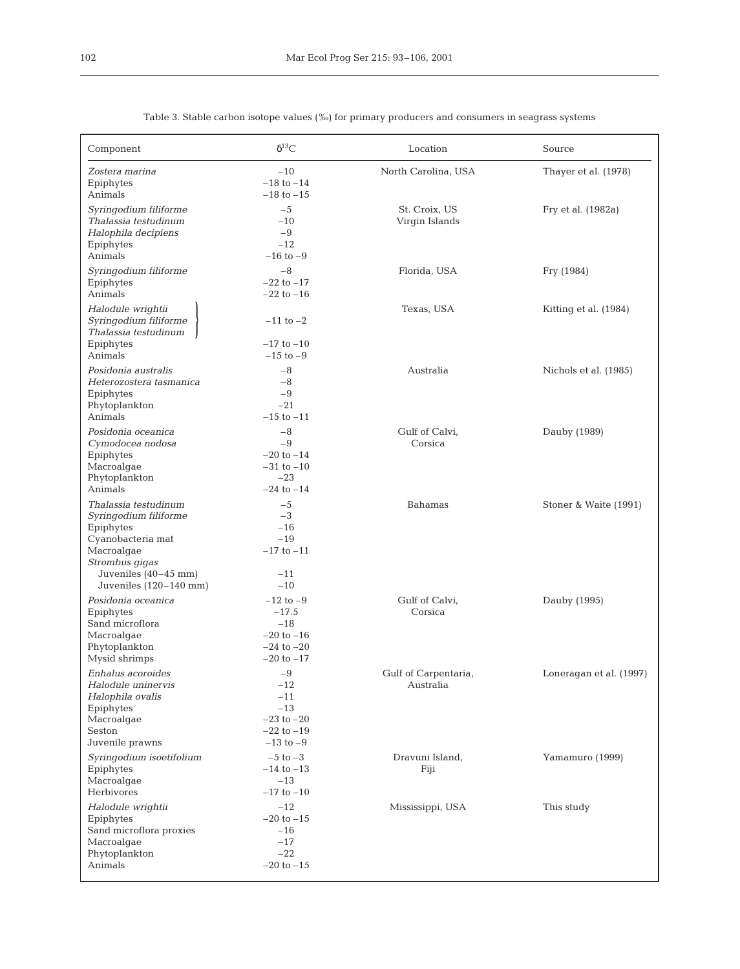| Component                                                                                                                                                             | $\delta^{13}C$                                                                          | Location                          | Source                  |  |
|-----------------------------------------------------------------------------------------------------------------------------------------------------------------------|-----------------------------------------------------------------------------------------|-----------------------------------|-------------------------|--|
| Zostera marina<br>Epiphytes<br>Animals                                                                                                                                | $-10$<br>$-18$ to $-14$<br>$-18$ to $-15$                                               | North Carolina, USA               | Thayer et al. (1978)    |  |
| Syringodium filiforme<br>Thalassia testudinum<br>Halophila decipiens<br>Epiphytes<br>Animals                                                                          | $-5$<br>$-10$<br>$-9$<br>$-12$<br>$-16$ to $-9$                                         | St. Croix, US<br>Virgin Islands   | Fry et al. (1982a)      |  |
| Syringodium filiforme<br>Epiphytes<br>Animals                                                                                                                         | $-8$<br>$-22$ to $-17$<br>$-22$ to $-16$                                                | Florida, USA                      | Fry (1984)              |  |
| Halodule wrightii<br>Syringodium filiforme<br>Thalassia testudinum<br>Epiphytes<br>Animals                                                                            | $-11$ to $-2$<br>$-17$ to $-10$<br>$-15$ to $-9$                                        | Texas, USA                        | Kitting et al. (1984)   |  |
| Posidonia australis<br>Heterozostera tasmanica<br>Epiphytes<br>Phytoplankton<br>Animals                                                                               | $-8$<br>$-8$<br>$-9$<br>$-21$<br>$-15$ to $-11$                                         | Australia                         | Nichols et al. (1985)   |  |
| Posidonia oceanica<br>Cymodocea nodosa<br>Epiphytes<br>Macroalgae<br>Phytoplankton<br>Animals                                                                         | $-8$<br>$-9$<br>$-20$ to $-14$<br>$-31$ to $-10$<br>$-23$<br>$-24$ to $-14$             | Gulf of Calvi,<br>Corsica         | Dauby (1989)            |  |
| Thalassia testudinum<br>Syringodium filiforme<br>Epiphytes<br>Cyanobacteria mat<br>Macroalgae<br>Strombus gigas<br>Juveniles $(40-45$ mm)<br>Juveniles $(120-140$ mm) | $-5$<br>$-3$<br>$-16$<br>$-19$<br>$-17$ to $-11$<br>$-11$<br>$-10$                      | <b>Bahamas</b>                    | Stoner & Waite (1991)   |  |
| Posidonia oceanica<br>Epiphytes<br>Sand microflora<br>Macroalgae<br>Phytoplankton<br>Mysid shrimps                                                                    | $-12$ to $-9$<br>$-17.5$<br>$-18$<br>$-20$ to $-16$<br>$-24$ to $-20$<br>$-20$ to $-17$ | Gulf of Calvi,<br>Corsica         | Dauby (1995)            |  |
| Enhalus acoroides<br>Halodule uninervis<br>Halophila ovalis<br>Epiphytes<br>Macroalgae<br>Seston<br>Juvenile prawns                                                   | $-9$<br>$-12$<br>$-11$<br>$-13$<br>$-23$ to $-20$<br>$-22$ to $-19$<br>$-13$ to $-9$    | Gulf of Carpentaria,<br>Australia | Loneragan et al. (1997) |  |
| Syringodium isoetifolium<br>Epiphytes<br>Macroalgae<br>Herbivores                                                                                                     | $-5$ to $-3$<br>$-14$ to $-13$<br>$-13$<br>$-17$ to $-10$                               | Dravuni Island,<br>Fiji           | Yamamuro (1999)         |  |
| Halodule wrightii<br>Epiphytes<br>Sand microflora proxies<br>Macroalgae<br>Phytoplankton<br>Animals                                                                   | $-12$<br>$-20$ to $-15$<br>$-16$<br>$-17$<br>$-22$<br>$-20$ to $-15$                    | Mississippi, USA                  | This study              |  |

Table 3. Stable carbon isotope values (‰) for primary producers and consumers in seagrass systems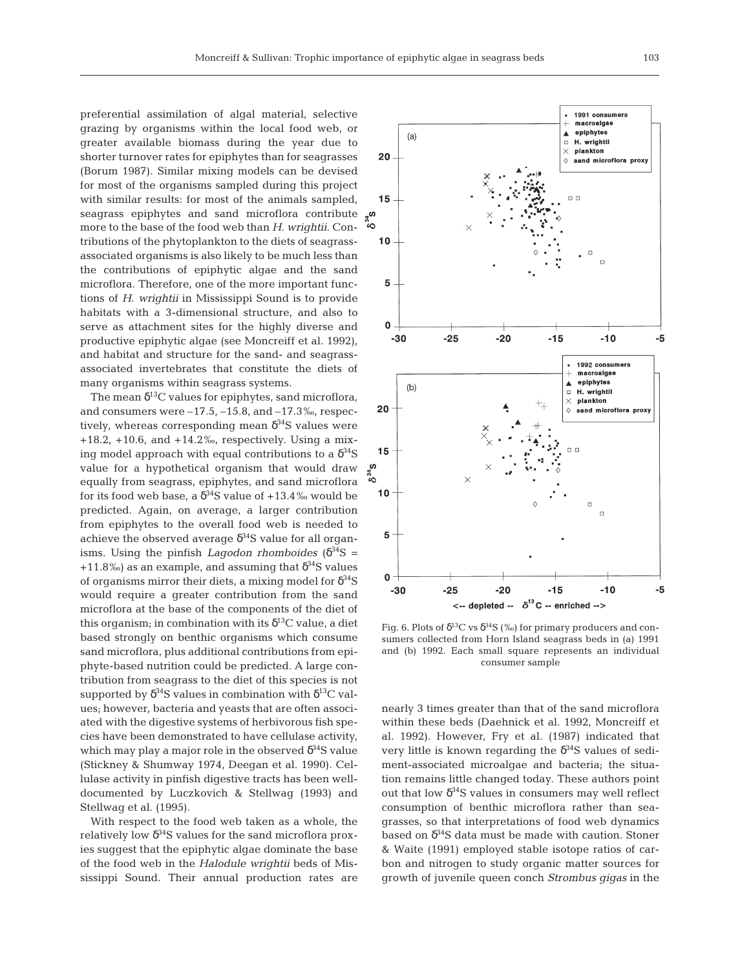preferential assimilation of algal material, selective grazing by organisms within the local food web, or greater available biomass during the year due to shorter turnover rates for epiphytes than for seagrasses (Borum 1987). Similar mixing models can be devised for most of the organisms sampled during this project with similar results: for most of the animals sampled, seagrass epiphytes and sand microflora contribute more to the base of the food web than *H*. *wrightii*. Contributions of the phytoplankton to the diets of seagrassassociated organisms is also likely to be much less than the contributions of epiphytic algae and the sand microflora. Therefore, one of the more important functions of *H*. *wrightii* in Mississippi Sound is to provide habitats with a 3-dimensional structure, and also to serve as attachment sites for the highly diverse and productive epiphytic algae (see Moncreiff et al. 1992), and habitat and structure for the sand- and seagrassassociated invertebrates that constitute the diets of many organisms within seagrass systems.

The mean  $\delta^{13}$ C values for epiphytes, sand microflora, and consumers were  $-17.5$ ,  $-15.8$ , and  $-17.3$ ‰, respectively, whereas corresponding mean  $\delta^{34}S$  values were +18.2, +10.6, and +14.2‰, respectively. Using a mixing model approach with equal contributions to a  $\delta^{34}S$ value for a hypothetical organism that would draw equally from seagrass, epiphytes, and sand microflora for its food web base, a  $\delta^{34}S$  value of +13.4% would be predicted. Again, on average, a larger contribution from epiphytes to the overall food web is needed to achieve the observed average  $\delta^{34}$ S value for all organisms. Using the pinfish *Lagodon rhomboides* ( $\delta^{34}S$  = +11.8‰) as an example, and assuming that  $\delta^{34}$ S values of organisms mirror their diets, a mixing model for  $\delta^{34}S$ would require a greater contribution from the sand microflora at the base of the components of the diet of this organism; in combination with its  $\delta^{13}$ C value, a diet based strongly on benthic organisms which consume sand microflora, plus additional contributions from epiphyte-based nutrition could be predicted. A large contribution from seagrass to the diet of this species is not supported by  $\delta^{34}S$  values in combination with  $\delta^{13}C$  values; however, bacteria and yeasts that are often associated with the digestive systems of herbivorous fish species have been demonstrated to have cellulase activity, which may play a major role in the observed  $\delta^{34}S$  value (Stickney & Shumway 1974, Deegan et al. 1990). Cellulase activity in pinfish digestive tracts has been welldocumented by Luczkovich & Stellwag (1993) and Stellwag et al. (1995).

With respect to the food web taken as a whole, the relatively low  $\delta^{34}$ S values for the sand microflora proxies suggest that the epiphytic algae dominate the base of the food web in the *Halodule wrightii* beds of Mississippi Sound. Their annual production rates are



Fig. 6. Plots of  $\delta^{13}\mathrm{C}$  vs  $\delta^{34}\mathrm{S}$  (‰) for primary producers and consumers collected from Horn Island seagrass beds in (a) 1991 and (b) 1992. Each small square represents an individual consumer sample

nearly 3 times greater than that of the sand microflora within these beds (Daehnick et al. 1992, Moncreiff et al. 1992). However, Fry et al. (1987) indicated that very little is known regarding the  $\delta^{34}S$  values of sediment-associated microalgae and bacteria; the situation remains little changed today. These authors point out that low  $\delta^{34}S$  values in consumers may well reflect consumption of benthic microflora rather than seagrasses, so that interpretations of food web dynamics based on  $\delta^{34}$ S data must be made with caution. Stoner & Waite (1991) employed stable isotope ratios of carbon and nitrogen to study organic matter sources for growth of juvenile queen conch *Strombus gigas* in the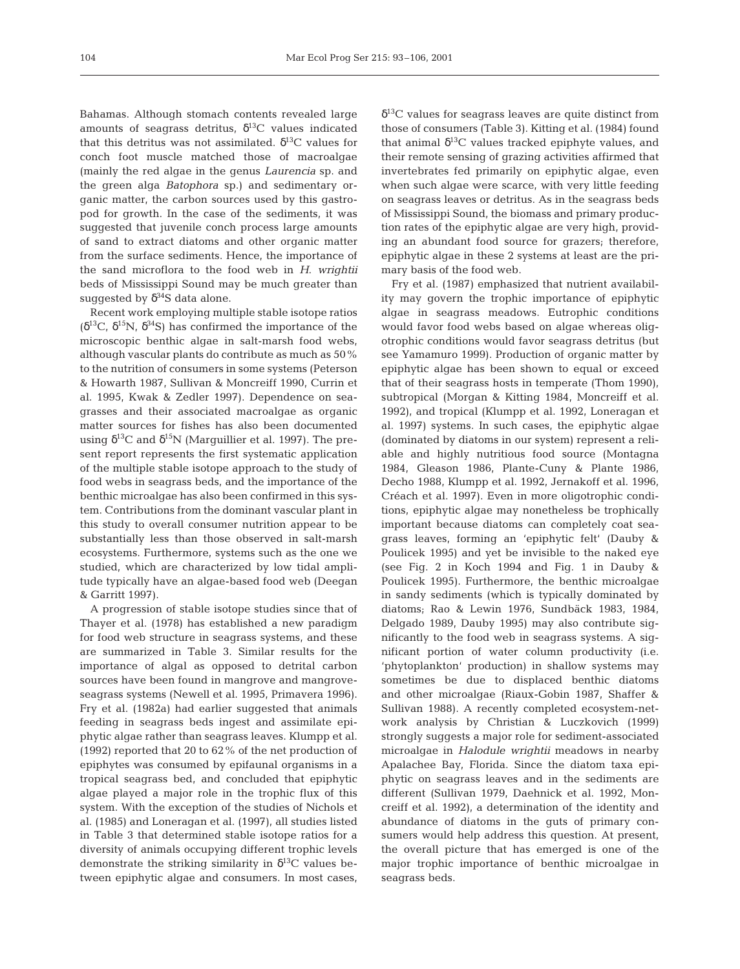Bahamas. Although stomach contents revealed large amounts of seagrass detritus,  $\delta^{13}$ C values indicated that this detritus was not assimilated.  $\delta^{13}$ C values for conch foot muscle matched those of macroalgae (mainly the red algae in the genus *Laurencia* sp. and the green alga *Batophora* sp.) and sedimentary organic matter, the carbon sources used by this gastropod for growth. In the case of the sediments, it was suggested that juvenile conch process large amounts of sand to extract diatoms and other organic matter from the surface sediments. Hence, the importance of the sand microflora to the food web in *H*. *wrightii* beds of Mississippi Sound may be much greater than suggested by  $\delta^{34}S$  data alone.

Recent work employing multiple stable isotope ratios ( $δ<sup>13</sup>C$ ,  $δ<sup>15</sup>N$ ,  $δ<sup>34</sup>S$ ) has confirmed the importance of the microscopic benthic algae in salt-marsh food webs, although vascular plants do contribute as much as 50% to the nutrition of consumers in some systems (Peterson & Howarth 1987, Sullivan & Moncreiff 1990, Currin et al. 1995, Kwak & Zedler 1997). Dependence on seagrasses and their associated macroalgae as organic matter sources for fishes has also been documented using  $\delta^{13}$ C and  $\delta^{15}$ N (Marguillier et al. 1997). The present report represents the first systematic application of the multiple stable isotope approach to the study of food webs in seagrass beds, and the importance of the benthic microalgae has also been confirmed in this system. Contributions from the dominant vascular plant in this study to overall consumer nutrition appear to be substantially less than those observed in salt-marsh ecosystems. Furthermore, systems such as the one we studied, which are characterized by low tidal amplitude typically have an algae-based food web (Deegan & Garritt 1997).

A progression of stable isotope studies since that of Thayer et al. (1978) has established a new paradigm for food web structure in seagrass systems, and these are summarized in Table 3. Similar results for the importance of algal as opposed to detrital carbon sources have been found in mangrove and mangroveseagrass systems (Newell et al. 1995, Primavera 1996). Fry et al. (1982a) had earlier suggested that animals feeding in seagrass beds ingest and assimilate epiphytic algae rather than seagrass leaves. Klumpp et al. (1992) reported that 20 to 62% of the net production of epiphytes was consumed by epifaunal organisms in a tropical seagrass bed, and concluded that epiphytic algae played a major role in the trophic flux of this system. With the exception of the studies of Nichols et al. (1985) and Loneragan et al. (1997), all studies listed in Table 3 that determined stable isotope ratios for a diversity of animals occupying different trophic levels demonstrate the striking similarity in  $\delta^{13}$ C values between epiphytic algae and consumers. In most cases,

 $\delta^{13}$ C values for seagrass leaves are quite distinct from those of consumers (Table 3). Kitting et al. (1984) found that animal  $\delta^{13}$ C values tracked epiphyte values, and their remote sensing of grazing activities affirmed that invertebrates fed primarily on epiphytic algae, even when such algae were scarce, with very little feeding on seagrass leaves or detritus. As in the seagrass beds of Mississippi Sound, the biomass and primary production rates of the epiphytic algae are very high, providing an abundant food source for grazers; therefore, epiphytic algae in these 2 systems at least are the primary basis of the food web.

Fry et al. (1987) emphasized that nutrient availability may govern the trophic importance of epiphytic algae in seagrass meadows. Eutrophic conditions would favor food webs based on algae whereas oligotrophic conditions would favor seagrass detritus (but see Yamamuro 1999). Production of organic matter by epiphytic algae has been shown to equal or exceed that of their seagrass hosts in temperate (Thom 1990), subtropical (Morgan & Kitting 1984, Moncreiff et al. 1992), and tropical (Klumpp et al. 1992, Loneragan et al. 1997) systems. In such cases, the epiphytic algae (dominated by diatoms in our system) represent a reliable and highly nutritious food source (Montagna 1984, Gleason 1986, Plante-Cuny & Plante 1986, Decho 1988, Klumpp et al. 1992, Jernakoff et al. 1996, Créach et al. 1997). Even in more oligotrophic conditions, epiphytic algae may nonetheless be trophically important because diatoms can completely coat seagrass leaves, forming an 'epiphytic felt' (Dauby & Poulicek 1995) and yet be invisible to the naked eye (see Fig. 2 in Koch 1994 and Fig. 1 in Dauby & Poulicek 1995). Furthermore, the benthic microalgae in sandy sediments (which is typically dominated by diatoms; Rao & Lewin 1976, Sundbäck 1983, 1984, Delgado 1989, Dauby 1995) may also contribute significantly to the food web in seagrass systems. A significant portion of water column productivity (i.e. 'phytoplankton' production) in shallow systems may sometimes be due to displaced benthic diatoms and other microalgae (Riaux-Gobin 1987, Shaffer & Sullivan 1988). A recently completed ecosystem-network analysis by Christian & Luczkovich (1999) strongly suggests a major role for sediment-associated microalgae in *Halodule wrightii* meadows in nearby Apalachee Bay, Florida. Since the diatom taxa epiphytic on seagrass leaves and in the sediments are different (Sullivan 1979, Daehnick et al. 1992, Moncreiff et al. 1992), a determination of the identity and abundance of diatoms in the guts of primary consumers would help address this question. At present, the overall picture that has emerged is one of the major trophic importance of benthic microalgae in seagrass beds.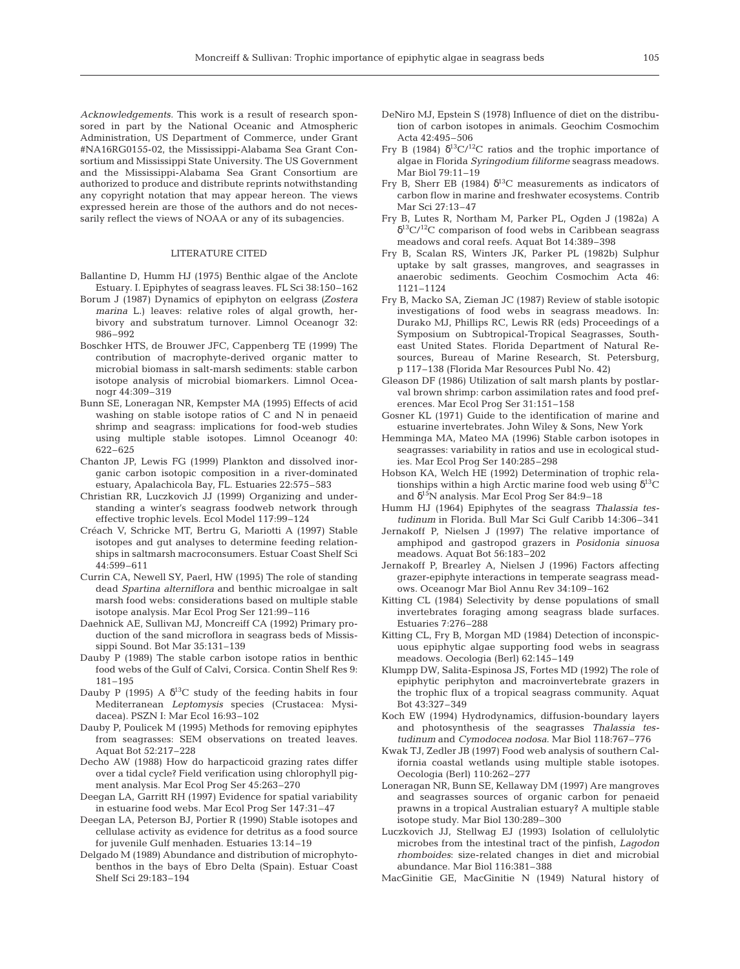*Acknowledgements.* This work is a result of research sponsored in part by the National Oceanic and Atmospheric Administration, US Department of Commerce, under Grant #NA16RG0155-02, the Mississippi-Alabama Sea Grant Consortium and Mississippi State University. The US Government and the Mississippi-Alabama Sea Grant Consortium are authorized to produce and distribute reprints notwithstanding any copyright notation that may appear hereon. The views expressed herein are those of the authors and do not necessarily reflect the views of NOAA or any of its subagencies.

#### LITERATURE CITED

- Ballantine D, Humm HJ (1975) Benthic algae of the Anclote Estuary. I. Epiphytes of seagrass leaves. FL Sci 38:150–162
- Borum J (1987) Dynamics of epiphyton on eelgrass *(Zostera marina* L.) leaves: relative roles of algal growth, herbivory and substratum turnover. Limnol Oceanogr 32: 986–992
- Boschker HTS, de Brouwer JFC, Cappenberg TE (1999) The contribution of macrophyte-derived organic matter to microbial biomass in salt-marsh sediments: stable carbon isotope analysis of microbial biomarkers. Limnol Oceanogr 44:309–319
- Bunn SE, Loneragan NR, Kempster MA (1995) Effects of acid washing on stable isotope ratios of C and N in penaeid shrimp and seagrass: implications for food-web studies using multiple stable isotopes. Limnol Oceanogr 40: 622–625
- Chanton JP, Lewis FG (1999) Plankton and dissolved inorganic carbon isotopic composition in a river-dominated estuary, Apalachicola Bay, FL. Estuaries 22:575–583
- Christian RR, Luczkovich JJ (1999) Organizing and understanding a winter's seagrass foodweb network through effective trophic levels. Ecol Model 117:99–124
- Créach V, Schricke MT, Bertru G, Mariotti A (1997) Stable isotopes and gut analyses to determine feeding relationships in saltmarsh macroconsumers. Estuar Coast Shelf Sci 44:599–611
- Currin CA, Newell SY, Paerl, HW (1995) The role of standing dead *Spartina alterniflora* and benthic microalgae in salt marsh food webs: considerations based on multiple stable isotope analysis. Mar Ecol Prog Ser 121:99–116
- Daehnick AE, Sullivan MJ, Moncreiff CA (1992) Primary production of the sand microflora in seagrass beds of Mississippi Sound. Bot Mar 35:131–139
- Dauby P (1989) The stable carbon isotope ratios in benthic food webs of the Gulf of Calvi, Corsica. Contin Shelf Res 9: 181–195
- Dauby P (1995) A  $\delta^{13}$ C study of the feeding habits in four Mediterranean *Leptomysis* species (Crustacea: Mysidacea). PSZN I: Mar Ecol 16:93–102
- Dauby P, Poulicek M (1995) Methods for removing epiphytes from seagrasses: SEM observations on treated leaves. Aquat Bot 52:217–228
- Decho AW (1988) How do harpacticoid grazing rates differ over a tidal cycle? Field verification using chlorophyll pigment analysis. Mar Ecol Prog Ser 45:263–270
- Deegan LA, Garritt RH (1997) Evidence for spatial variability in estuarine food webs. Mar Ecol Prog Ser 147:31–47
- Deegan LA, Peterson BJ, Portier R (1990) Stable isotopes and cellulase activity as evidence for detritus as a food source for juvenile Gulf menhaden. Estuaries 13:14–19
- Delgado M (1989) Abundance and distribution of microphytobenthos in the bays of Ebro Delta (Spain). Estuar Coast Shelf Sci 29:183–194
- DeNiro MJ, Epstein S (1978) Influence of diet on the distribution of carbon isotopes in animals. Geochim Cosmochim Acta 42:495–506
- Fry B (1984)  $\delta^{13}C^{12}C$  ratios and the trophic importance of algae in Florida *Syringodium filiforme* seagrass meadows. Mar Biol 79:11–19
- Fry B, Sherr EB (1984)  $\delta^{13}$ C measurements as indicators of carbon flow in marine and freshwater ecosystems. Contrib Mar Sci 27:13–47
- Fry B, Lutes R, Northam M, Parker PL, Ogden J (1982a) A  $\delta^{13}C^{12}C$  comparison of food webs in Caribbean seagrass meadows and coral reefs. Aquat Bot 14:389–398
- Fry B, Scalan RS, Winters JK, Parker PL (1982b) Sulphur uptake by salt grasses, mangroves, and seagrasses in anaerobic sediments. Geochim Cosmochim Acta 46: 1121–1124
- Fry B, Macko SA, Zieman JC (1987) Review of stable isotopic investigations of food webs in seagrass meadows. In: Durako MJ, Phillips RC, Lewis RR (eds) Proceedings of a Symposium on Subtropical-Tropical Seagrasses, Southeast United States. Florida Department of Natural Resources, Bureau of Marine Research, St. Petersburg, p 117–138 (Florida Mar Resources Publ No. 42)
- Gleason DF (1986) Utilization of salt marsh plants by postlarval brown shrimp: carbon assimilation rates and food preferences. Mar Ecol Prog Ser 31:151–158
- Gosner KL (1971) Guide to the identification of marine and estuarine invertebrates. John Wiley & Sons, New York
- Hemminga MA, Mateo MA (1996) Stable carbon isotopes in seagrasses: variability in ratios and use in ecological studies. Mar Ecol Prog Ser 140:285–298
- Hobson KA, Welch HE (1992) Determination of trophic relationships within a high Arctic marine food web using  $\delta^{13}C$ and δ15N analysis. Mar Ecol Prog Ser 84:9–18
- Humm HJ (1964) Epiphytes of the seagrass *Thalassia testudinum* in Florida. Bull Mar Sci Gulf Caribb 14:306–341
- Jernakoff P, Nielsen J (1997) The relative importance of amphipod and gastropod grazers in *Posidonia sinuosa* meadows. Aquat Bot 56:183–202
- Jernakoff P, Brearley A, Nielsen J (1996) Factors affecting grazer-epiphyte interactions in temperate seagrass meadows. Oceanogr Mar Biol Annu Rev 34:109–162
- Kitting CL (1984) Selectivity by dense populations of small invertebrates foraging among seagrass blade surfaces. Estuaries 7:276–288
- Kitting CL, Fry B, Morgan MD (1984) Detection of inconspicuous epiphytic algae supporting food webs in seagrass meadows. Oecologia (Berl) 62:145–149
- Klumpp DW, Salita-Espinosa JS, Fortes MD (1992) The role of epiphytic periphyton and macroinvertebrate grazers in the trophic flux of a tropical seagrass community. Aquat Bot 43:327–349
- Koch EW (1994) Hydrodynamics, diffusion-boundary layers and photosynthesis of the seagrasses *Thalassia testudinum* and *Cymodocea nodosa*. Mar Biol 118:767–776
- Kwak TJ, Zedler JB (1997) Food web analysis of southern California coastal wetlands using multiple stable isotopes. Oecologia (Berl) 110:262–277
- Loneragan NR, Bunn SE, Kellaway DM (1997) Are mangroves and seagrasses sources of organic carbon for penaeid prawns in a tropical Australian estuary? A multiple stable isotope study. Mar Biol 130:289–300
- Luczkovich JJ, Stellwag EJ (1993) Isolation of cellulolytic microbes from the intestinal tract of the pinfish, *Lagodon rhomboides*: size-related changes in diet and microbial abundance. Mar Biol 116:381–388
- MacGinitie GE, MacGinitie N (1949) Natural history of